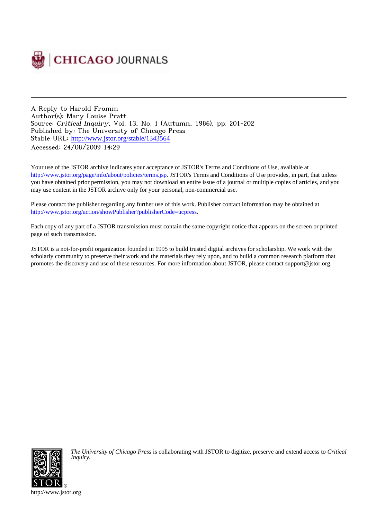

A Reply to Harold Fromm Author(s): Mary Louise Pratt Source: Critical Inquiry, Vol. 13, No. 1 (Autumn, 1986), pp. 201-202 Published by: The University of Chicago Press Stable URL: [http://www.jstor.org/stable/1343564](http://www.jstor.org/stable/1343564?origin=JSTOR-pdf) Accessed: 24/08/2009 14:29

Your use of the JSTOR archive indicates your acceptance of JSTOR's Terms and Conditions of Use, available at <http://www.jstor.org/page/info/about/policies/terms.jsp>. JSTOR's Terms and Conditions of Use provides, in part, that unless you have obtained prior permission, you may not download an entire issue of a journal or multiple copies of articles, and you may use content in the JSTOR archive only for your personal, non-commercial use.

Please contact the publisher regarding any further use of this work. Publisher contact information may be obtained at [http://www.jstor.org/action/showPublisher?publisherCode=ucpress.](http://www.jstor.org/action/showPublisher?publisherCode=ucpress)

Each copy of any part of a JSTOR transmission must contain the same copyright notice that appears on the screen or printed page of such transmission.

JSTOR is a not-for-profit organization founded in 1995 to build trusted digital archives for scholarship. We work with the scholarly community to preserve their work and the materials they rely upon, and to build a common research platform that promotes the discovery and use of these resources. For more information about JSTOR, please contact support@jstor.org.



*The University of Chicago Press* is collaborating with JSTOR to digitize, preserve and extend access to *Critical Inquiry.*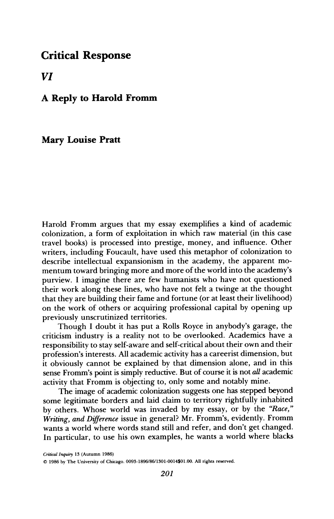## **Critical Response**

## **VI**

## **A Reply to Harold Fromm**

## **Mary Louise Pratt**

**Harold Fromm argues that my essay exemplifies a kind of academic colonization, a form of exploitation in which raw material (in this case travel books) is processed into prestige, money, and influence. Other writers, including Foucault, have used this metaphor of colonization to describe intellectual expansionism in the academy, the apparent momentum toward bringing more and more of the world into the academy's purview. I imagine there are few humanists who have not questioned their work along these lines, who have not felt a twinge at the thought that they are building their fame and fortune (or at least their livelihood) on the work of others or acquiring professional capital by opening up previously unscrutinized territories.** 

**Though I doubt it has put a Rolls Royce in anybody's garage, the criticism industry is a reality not to be overlooked. Academics have a responsibility to stay self-aware and self-critical about their own and their profession's interests. All academic activity has a careerist dimension, but it obviously cannot be explained by that dimension alone, and in this sense Fromm's point is simply reductive. But of course it is not all academic activity that Fromm is objecting to, only some and notably mine.** 

**The image of academic colonization suggests one has stepped beyond some legitimate borders and laid claim to territory rightfully inhabited by others. Whose world was invaded by my essay, or by the "Race," Writing, and Difference issue in general? Mr. Fromm's, evidently. Fromm wants a world where words stand still and refer, and don't get changed. In particular, to use his own examples, he wants a world where blacks** 

**Critical Inquiry 13 (Autumn 1986)** 

**<sup>? 1986</sup> by The University of Chicago. 0093-1896/86/1301-0014\$01.00. All rights reserved.**